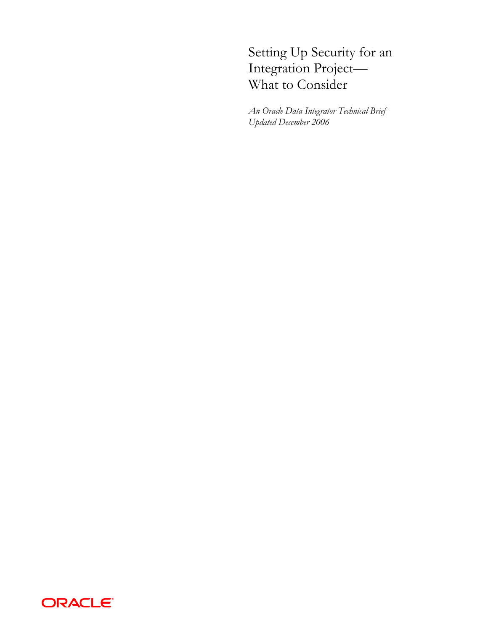# Setting Up Security for an Integration Project— What to Consider

*An Oracle Data Integrator Technical Brief Updated December 2006* 

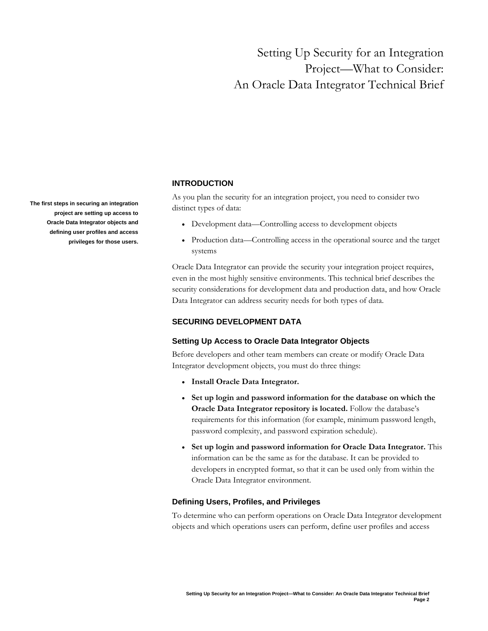# Setting Up Security for an Integration Project—What to Consider: An Oracle Data Integrator Technical Brief

The first steps in securing an integration<br>distinct types of data: **project are setting up access to Oracle Data Integrator objects and defining user profiles and access privileges for those users.** 

## **INTRODUCTION**

As you plan the security for an integration project, you need to consider two

- Development data—Controlling access to development objects
- Production data—Controlling access in the operational source and the target systems

Oracle Data Integrator can provide the security your integration project requires, even in the most highly sensitive environments. This technical brief describes the security considerations for development data and production data, and how Oracle Data Integrator can address security needs for both types of data.

## **SECURING DEVELOPMENT DATA**

## **Setting Up Access to Oracle Data Integrator Objects**

Before developers and other team members can create or modify Oracle Data Integrator development objects, you must do three things:

- **Install Oracle Data Integrator.**
- **Set up login and password information for the database on which the Oracle Data Integrator repository is located.** Follow the database's requirements for this information (for example, minimum password length, password complexity, and password expiration schedule).
- **Set up login and password information for Oracle Data Integrator.** This information can be the same as for the database. It can be provided to developers in encrypted format, so that it can be used only from within the Oracle Data Integrator environment.

## **Defining Users, Profiles, and Privileges**

To determine who can perform operations on Oracle Data Integrator development objects and which operations users can perform, define user profiles and access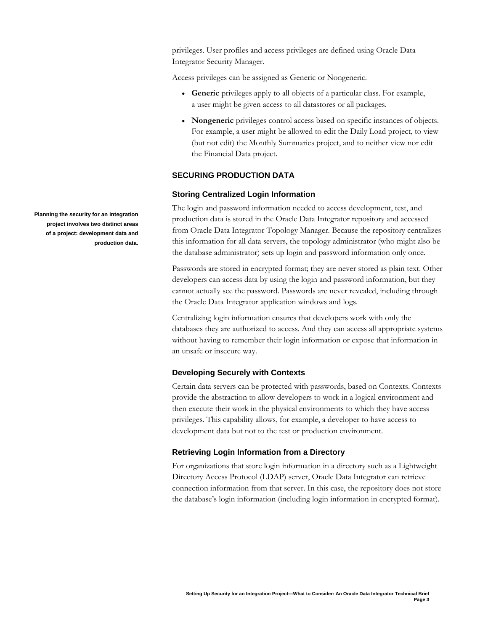privileges. User profiles and access privileges are defined using Oracle Data Integrator Security Manager.

Access privileges can be assigned as Generic or Nongeneric.

- **Generic** privileges apply to all objects of a particular class. For example, a user might be given access to all datastores or all packages.
- **Nongeneric** privileges control access based on specific instances of objects. For example, a user might be allowed to edit the Daily Load project, to view (but not edit) the Monthly Summaries project, and to neither view nor edit the Financial Data project.

## **SECURING PRODUCTION DATA**

#### **Storing Centralized Login Information**

The login and password information needed to access development, test, and production data is stored in the Oracle Data Integrator repository and accessed from Oracle Data Integrator Topology Manager. Because the repository centralizes this information for all data servers, the topology administrator (who might also be the database administrator) sets up login and password information only once.

Passwords are stored in encrypted format; they are never stored as plain text. Other developers can access data by using the login and password information, but they cannot actually see the password. Passwords are never revealed, including through the Oracle Data Integrator application windows and logs.

Centralizing login information ensures that developers work with only the databases they are authorized to access. And they can access all appropriate systems without having to remember their login information or expose that information in an unsafe or insecure way.

## **Developing Securely with Contexts**

Certain data servers can be protected with passwords, based on Contexts. Contexts provide the abstraction to allow developers to work in a logical environment and then execute their work in the physical environments to which they have access privileges. This capability allows, for example, a developer to have access to development data but not to the test or production environment.

## **Retrieving Login Information from a Directory**

For organizations that store login information in a directory such as a Lightweight Directory Access Protocol (LDAP) server, Oracle Data Integrator can retrieve connection information from that server. In this case, the repository does not store the database's login information (including login information in encrypted format).

**Planning the security for an integration project involves two distinct areas of a project: development data and production data.**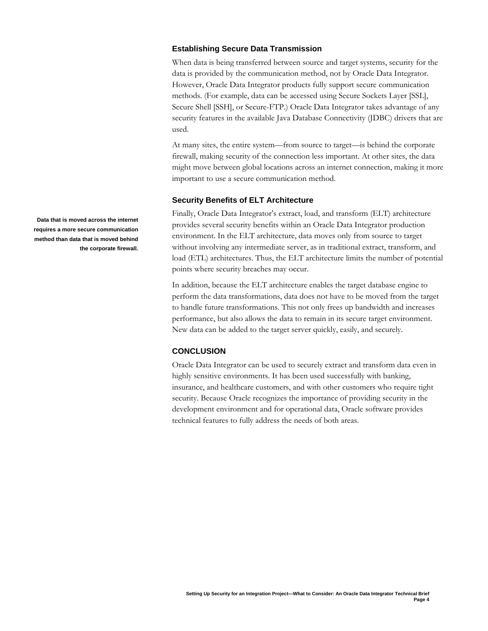## **Establishing Secure Data Transmission**

When data is being transferred between source and target systems, security for the data is provided by the communication method, not by Oracle Data Integrator. However, Oracle Data Integrator products fully support secure communication methods. (For example, data can be accessed using Secure Sockets Layer [SSL], Secure Shell [SSH], or Secure-FTP.) Oracle Data Integrator takes advantage of any security features in the available Java Database Connectivity (JDBC) drivers that are used.

At many sites, the entire system—from source to target—is behind the corporate firewall, making security of the connection less important. At other sites, the data might move between global locations across an internet connection, making it more important to use a secure communication method.

#### **Security Benefits of ELT Architecture**

Finally, Oracle Data Integrator's extract, load, and transform (ELT) architecture provides several security benefits within an Oracle Data Integrator production environment. In the ELT architecture, data moves only from source to target without involving any intermediate server, as in traditional extract, transform, and load (ETL) architectures. Thus, the ELT architecture limits the number of potential points where security breaches may occur.

In addition, because the ELT architecture enables the target database engine to perform the data transformations, data does not have to be moved from the target to handle future transformations. This not only frees up bandwidth and increases performance, but also allows the data to remain in its secure target environment. New data can be added to the target server quickly, easily, and securely.

### **CONCLUSION**

Oracle Data Integrator can be used to securely extract and transform data even in highly sensitive environments. It has been used successfully with banking, insurance, and healthcare customers, and with other customers who require tight security. Because Oracle recognizes the importance of providing security in the development environment and for operational data, Oracle software provides technical features to fully address the needs of both areas.

**Data that is moved across the internet requires a more secure communication method than data that is moved behind the corporate firewall.**